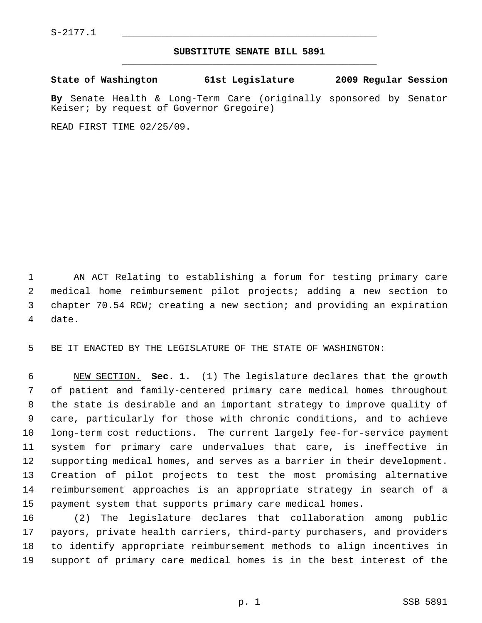$S-2177.1$ 

## **SUBSTITUTE SENATE BILL 5891** \_\_\_\_\_\_\_\_\_\_\_\_\_\_\_\_\_\_\_\_\_\_\_\_\_\_\_\_\_\_\_\_\_\_\_\_\_\_\_\_\_\_\_\_\_

**State of Washington 61st Legislature 2009 Regular Session**

**By** Senate Health & Long-Term Care (originally sponsored by Senator Keiser; by request of Governor Gregoire)

READ FIRST TIME 02/25/09.

 1 AN ACT Relating to establishing a forum for testing primary care 2 medical home reimbursement pilot projects; adding a new section to 3 chapter 70.54 RCW; creating a new section; and providing an expiration 4 date.

5 BE IT ENACTED BY THE LEGISLATURE OF THE STATE OF WASHINGTON:

 6 NEW SECTION. **Sec. 1.** (1) The legislature declares that the growth 7 of patient and family-centered primary care medical homes throughout 8 the state is desirable and an important strategy to improve quality of 9 care, particularly for those with chronic conditions, and to achieve 10 long-term cost reductions. The current largely fee-for-service payment 11 system for primary care undervalues that care, is ineffective in 12 supporting medical homes, and serves as a barrier in their development. 13 Creation of pilot projects to test the most promising alternative 14 reimbursement approaches is an appropriate strategy in search of a 15 payment system that supports primary care medical homes.

16 (2) The legislature declares that collaboration among public 17 payors, private health carriers, third-party purchasers, and providers 18 to identify appropriate reimbursement methods to align incentives in 19 support of primary care medical homes is in the best interest of the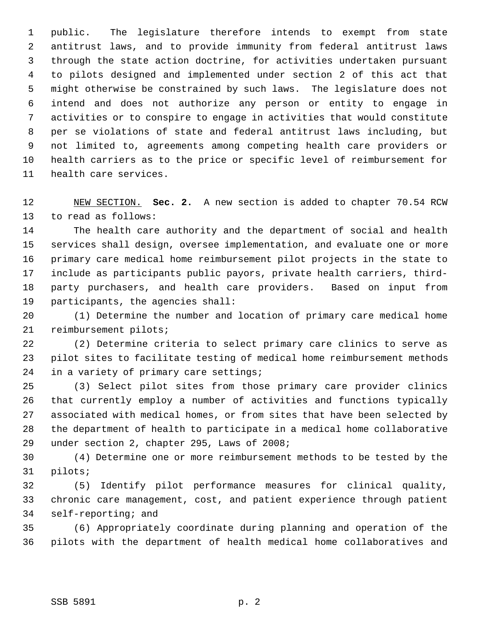1 public. The legislature therefore intends to exempt from state 2 antitrust laws, and to provide immunity from federal antitrust laws 3 through the state action doctrine, for activities undertaken pursuant 4 to pilots designed and implemented under section 2 of this act that 5 might otherwise be constrained by such laws. The legislature does not 6 intend and does not authorize any person or entity to engage in 7 activities or to conspire to engage in activities that would constitute 8 per se violations of state and federal antitrust laws including, but 9 not limited to, agreements among competing health care providers or 10 health carriers as to the price or specific level of reimbursement for 11 health care services.

12 NEW SECTION. **Sec. 2.** A new section is added to chapter 70.54 RCW 13 to read as follows:

14 The health care authority and the department of social and health 15 services shall design, oversee implementation, and evaluate one or more 16 primary care medical home reimbursement pilot projects in the state to 17 include as participants public payors, private health carriers, third-18 party purchasers, and health care providers. Based on input from 19 participants, the agencies shall:

20 (1) Determine the number and location of primary care medical home 21 reimbursement pilots;

22 (2) Determine criteria to select primary care clinics to serve as 23 pilot sites to facilitate testing of medical home reimbursement methods 24 in a variety of primary care settings;

25 (3) Select pilot sites from those primary care provider clinics 26 that currently employ a number of activities and functions typically 27 associated with medical homes, or from sites that have been selected by 28 the department of health to participate in a medical home collaborative 29 under section 2, chapter 295, Laws of 2008;

30 (4) Determine one or more reimbursement methods to be tested by the 31 pilots;

32 (5) Identify pilot performance measures for clinical quality, 33 chronic care management, cost, and patient experience through patient 34 self-reporting; and

35 (6) Appropriately coordinate during planning and operation of the 36 pilots with the department of health medical home collaboratives and